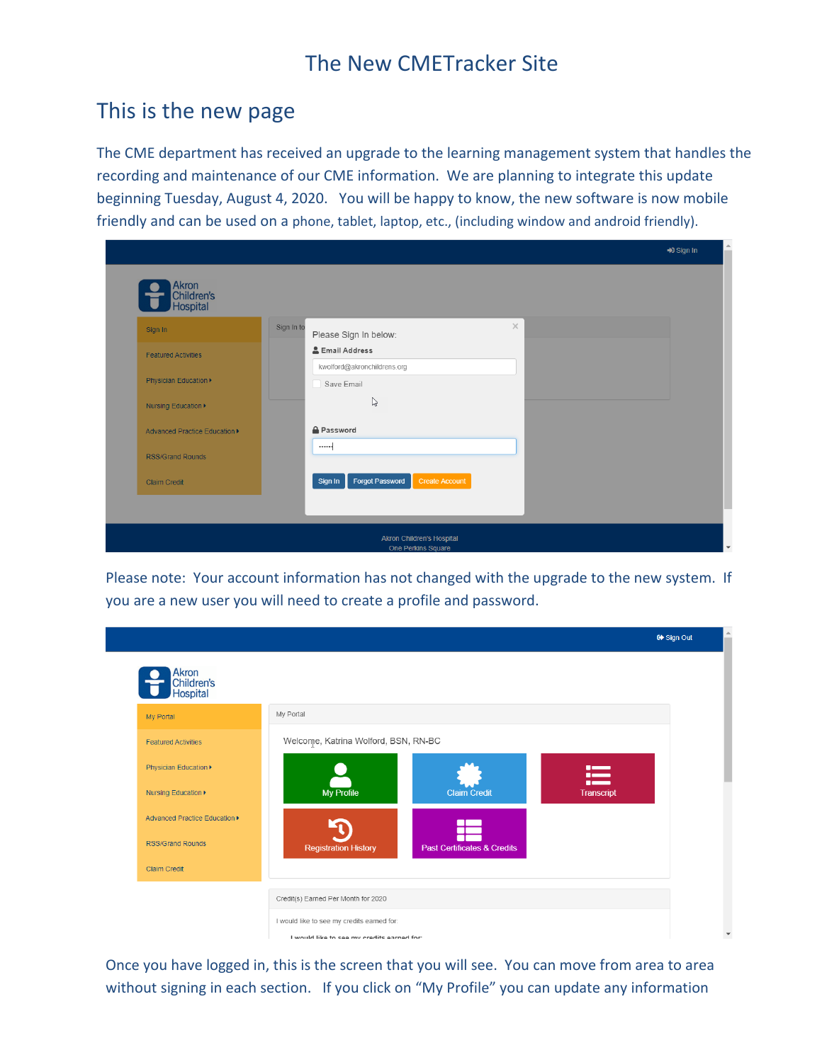## The New CMETracker Site

## This is the new page

The CME department has received an upgrade to the learning management system that handles the recording and maintenance of our CME information. We are planning to integrate this update beginning Tuesday, August 4, 2020. You will be happy to know, the new software is now mobile friendly and can be used on a phone, tablet, laptop, etc., (including window and android friendly).

| Sign In                       | Sign In to | Please Sign In below:                                      | $\times$ |  |
|-------------------------------|------------|------------------------------------------------------------|----------|--|
| <b>Featured Activities</b>    |            | & Email Address                                            |          |  |
| Physician Education >         |            | kwolford@akronchildrens.org<br>Save Email                  |          |  |
| Nursing Education >           |            | B                                                          |          |  |
| Advanced Practice Education ▶ |            | <b>A</b> Password                                          |          |  |
| <b>RSS/Grand Rounds</b>       |            |                                                            |          |  |
| <b>Claim Credit</b>           |            | <b>Forgot Password</b><br><b>Create Account</b><br>Sign In |          |  |

Please note: Your account information has not changed with the upgrade to the new system. If you are a new user you will need to create a profile and password.

| My Portal                     | My Portal                            |                                        |                   |  |
|-------------------------------|--------------------------------------|----------------------------------------|-------------------|--|
| <b>Featured Activities</b>    | Welcome, Katrina Wolford, BSN, RN-BC |                                        |                   |  |
| Physician Education ▶         |                                      |                                        | 這                 |  |
| Nursing Education >           | <b>My Profile</b>                    | <b>Claim Credit</b>                    | <b>Transcript</b> |  |
| Advanced Practice Education ▶ |                                      |                                        |                   |  |
| <b>RSS/Grand Rounds</b>       | <b>Registration History</b>          | <b>Past Certificates &amp; Credits</b> |                   |  |
| <b>Claim Credit</b>           |                                      |                                        |                   |  |

Once you have logged in, this is the screen that you will see. You can move from area to area without signing in each section. If you click on "My Profile" you can update any information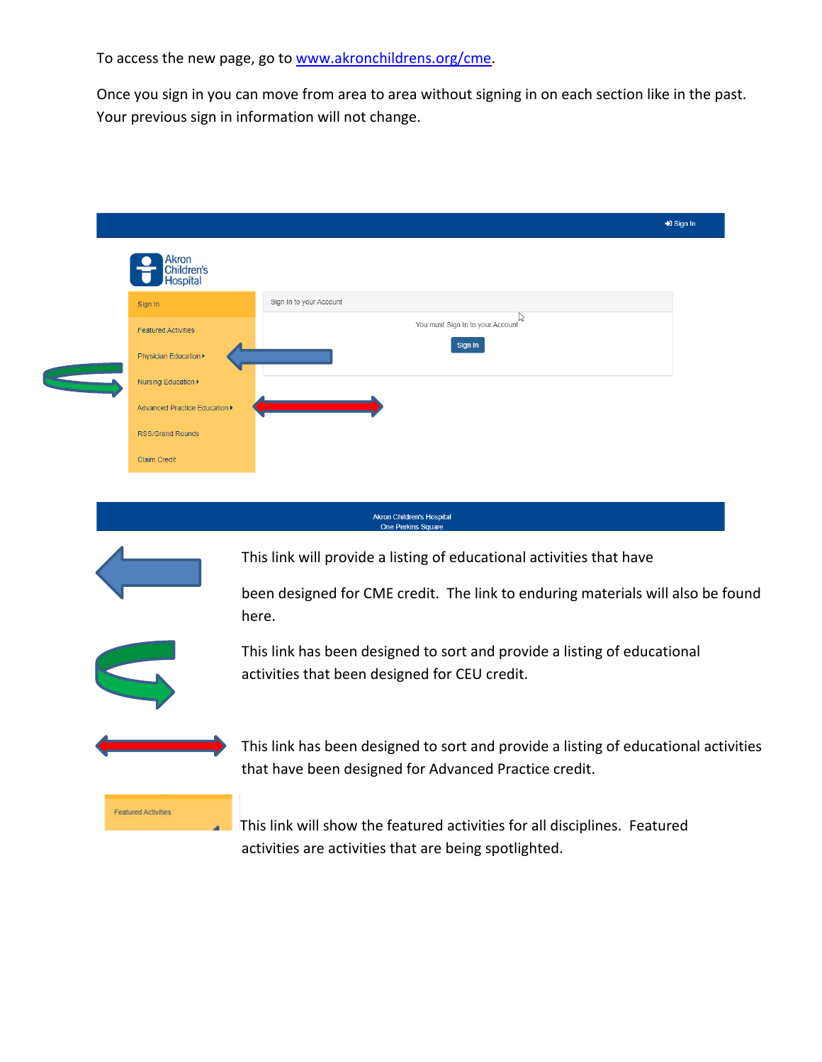To access the new page, go to [www.akronchildrens.org/cme.](http://www.akronchildrens.org/cme)

Once you sign in you can move from area to area without signing in on each section like in the past. Your previous sign in information will not change.

|                                        |                                                                                                                                    | +1 Sign In |
|----------------------------------------|------------------------------------------------------------------------------------------------------------------------------------|------------|
| Akron<br>Children's<br><b>Hospital</b> |                                                                                                                                    |            |
| Sign In                                | Sign In to your Account                                                                                                            |            |
| <b>Featured Activities</b>             | M<br>You must Sign In to your Account.                                                                                             |            |
| Physician Education ▶                  | Sign In                                                                                                                            |            |
| Nursing Education ▶                    |                                                                                                                                    |            |
| <b>Advanced Practice Education ▶</b>   |                                                                                                                                    |            |
| <b>RSS/Grand Rounds</b>                |                                                                                                                                    |            |
| <b>Claim Credit</b>                    |                                                                                                                                    |            |
|                                        |                                                                                                                                    |            |
|                                        | This link will provide a listing of educational activities that have                                                               |            |
|                                        | been designed for CME credit. The link to enduring materials will also be found<br>here.                                           |            |
|                                        | This link has been designed to sort and provide a listing of educational                                                           |            |
|                                        | activities that been designed for CEU credit.                                                                                      |            |
|                                        | This link has been designed to sort and provide a listing of educational activities                                                |            |
|                                        | that have been designed for Advanced Practice credit.                                                                              |            |
|                                        |                                                                                                                                    |            |
|                                        |                                                                                                                                    |            |
| <b>Featured Activities</b>             | This link will show the featured activities for all disciplines. Featured<br>activities are activities that are being spotlighted. |            |